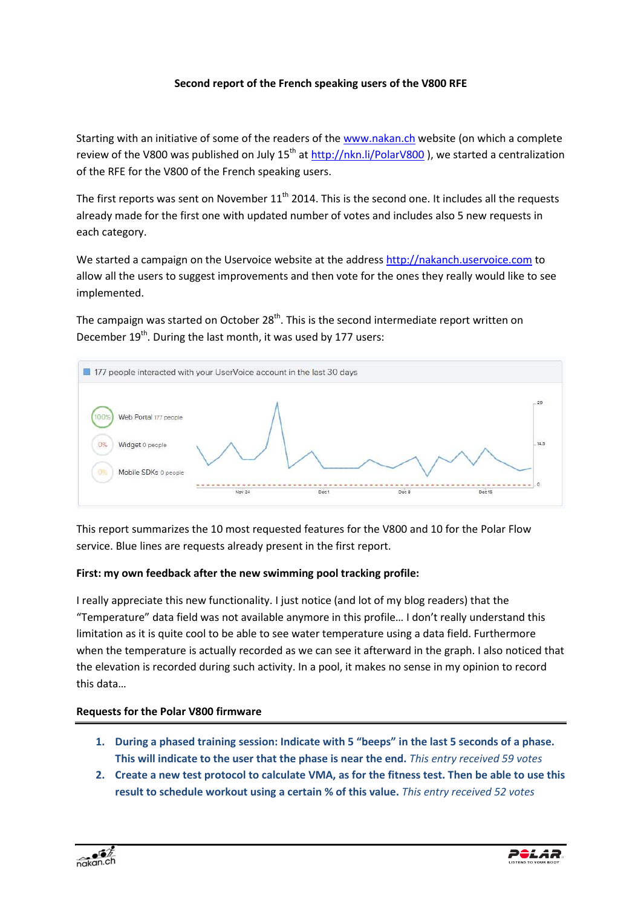## **Second report of the French speaking users of the V800 RFE**

Starting with an initiative of some of the readers of the www.nakan.ch website (on which a complete review of the V800 was published on July  $15^{th}$  at http://nkn.li/PolarV800), we started a centralization of the RFE for the V800 of the French speaking users.

The first reports was sent on November  $11<sup>th</sup>$  2014. This is the second one. It includes all the requests already made for the first one with updated number of votes and includes also 5 new requests in each category.

We started a campaign on the Uservoice website at the address http://nakanch.uservoice.com to allow all the users to suggest improvements and then vote for the ones they really would like to see implemented.

The campaign was started on October  $28<sup>th</sup>$ . This is the second intermediate report written on December  $19^{th}$ . During the last month, it was used by 177 users:



This report summarizes the 10 most requested features for the V800 and 10 for the Polar Flow service. Blue lines are requests already present in the first report.

## **First: my own feedback after the new swimming pool tracking profile:**

I really appreciate this new functionality. I just notice (and lot of my blog readers) that the "Temperature" data field was not available anymore in this profile… I don't really understand this limitation as it is quite cool to be able to see water temperature using a data field. Furthermore when the temperature is actually recorded as we can see it afterward in the graph. I also noticed that the elevation is recorded during such activity. In a pool, it makes no sense in my opinion to record this data…

## **Requests for the Polar V800 firmware**

- **1. During a phased training session: Indicate with 5 "beeps" in the last 5 seconds of a phase. This will indicate to the user that the phase is near the end.** *This entry received 59 votes*
- **2. Create a new test protocol to calculate VMA, as for the fitness test. Then be able to use this result to schedule workout using a certain % of this value.** *This entry received 52 votes*